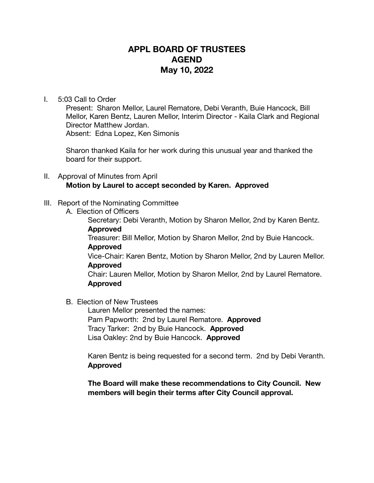## **APPL BOARD OF TRUSTEES AGEND May 10, 2022**

## I. 5:03 Call to Order

Present: Sharon Mellor, Laurel Rematore, Debi Veranth, Buie Hancock, Bill Mellor, Karen Bentz, Lauren Mellor, Interim Director - Kaila Clark and Regional Director Matthew Jordan. Absent: Edna Lopez, Ken Simonis

Sharon thanked Kaila for her work during this unusual year and thanked the board for their support.

- II. Approval of Minutes from April **Motion by Laurel to accept seconded by Karen. Approved**
- III. Report of the Nominating Committee
	- A. Election of Officers

 Secretary: Debi Veranth, Motion by Sharon Mellor, 2nd by Karen Bentz. **Approved** 

 Treasurer: Bill Mellor, Motion by Sharon Mellor, 2nd by Buie Hancock. **Approved** 

Vice-Chair: Karen Bentz, Motion by Sharon Mellor, 2nd by Lauren Mellor. **Approved** 

Chair: Lauren Mellor, Motion by Sharon Mellor, 2nd by Laurel Rematore. **Approved** 

B. Election of New Trustees

 Lauren Mellor presented the names: Pam Papworth: 2nd by Laurel Rematore. **Approved**  Tracy Tarker: 2nd by Buie Hancock. **Approved**  Lisa Oakley: 2nd by Buie Hancock. **Approved** 

Karen Bentz is being requested for a second term. 2nd by Debi Veranth. **Approved** 

**The Board will make these recommendations to City Council. New members will begin their terms after City Council approval.**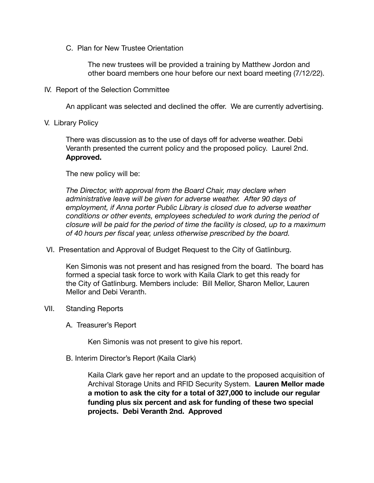C. Plan for New Trustee Orientation

 The new trustees will be provided a training by Matthew Jordon and other board members one hour before our next board meeting (7/12/22).

IV. Report of the Selection Committee

An applicant was selected and declined the offer. We are currently advertising.

V. Library Policy

There was discussion as to the use of days off for adverse weather. Debi Veranth presented the current policy and the proposed policy. Laurel 2nd. **Approved.** 

The new policy will be:

*The Director, with approval from the Board Chair, may declare when* administrative leave will be given for adverse weather. After 90 days of *employment, if Anna porter Public Library is closed due to adverse weather conditions or other events, employees scheduled to work during the period of closure will be paid for the period of time the facility is closed, up to a maximum of 40 hours per fiscal year, unless otherwise prescribed by the board.* 

VI. Presentation and Approval of Budget Request to the City of Gatlinburg.

Ken Simonis was not present and has resigned from the board. The board has formed a special task force to work with Kaila Clark to get this ready for the City of Gatlinburg. Members include: Bill Mellor, Sharon Mellor, Lauren Mellor and Debi Veranth.

- VII. Standing Reports
	- A. Treasurer's Report

 Ken Simonis was not present to give his report.

B. Interim Director's Report (Kaila Clark)

 Kaila Clark gave her report and an update to the proposed acquisition of Archival Storage Units and RFID Security System. **Lauren Mellor made a motion to ask the city for a total of 327,000 to include our regular funding plus six percent and ask for funding of these two special projects. Debi Veranth 2nd. Approved**